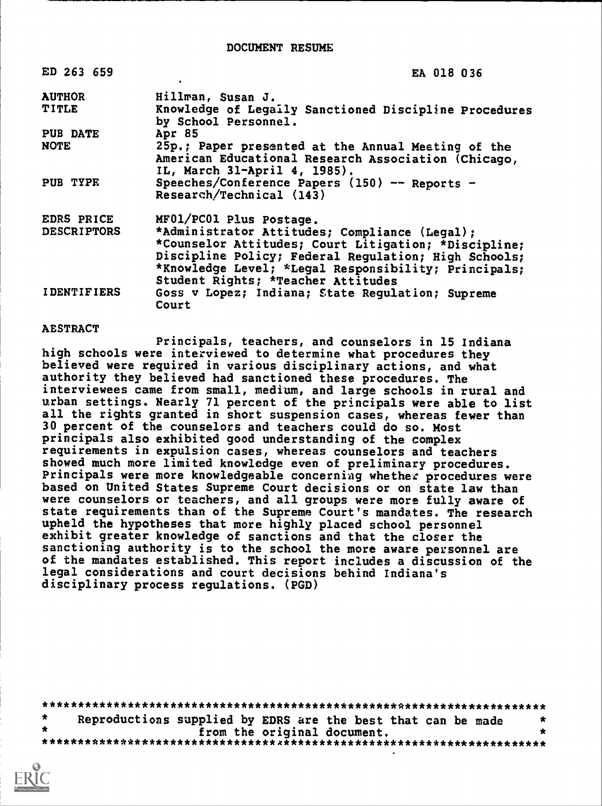DOCUMENT RESUME

| ED 263 659         | EA 018 036                                                                                                                                                                                                                                                  |
|--------------------|-------------------------------------------------------------------------------------------------------------------------------------------------------------------------------------------------------------------------------------------------------------|
| <b>AUTHOR</b>      | Hillman, Susan J.                                                                                                                                                                                                                                           |
| <b>TITLE</b>       | Knowledge of Legaily Sanctioned Discipline Procedures<br>by School Personnel.                                                                                                                                                                               |
| <b>PUB DATE</b>    | Apr 85                                                                                                                                                                                                                                                      |
| <b>NOTE</b>        | 25p.; Paper presented at the Annual Meeting of the<br>American Educational Research Association (Chicago,<br>IL, March 31-April 4, 1985).                                                                                                                   |
| PUB TYPE           | Speeches/Conference Papers (150) -- Reports -<br>Research/Technical (143)                                                                                                                                                                                   |
| EDRS PRICE         | MF01/PC01 Plus Postage.                                                                                                                                                                                                                                     |
| <b>DESCRIPTORS</b> | *Administrator Attitudes; Compliance (Legal);<br>*Counselor Attitudes; Court Litigation; *Discipline;<br>Discipline Policy; Federal Regulation; High Schools;<br>*Knowledge Level; *Legal Responsibility; Principals;<br>Student Rights; *Teacher Attitudes |
| <b>IDENTIFIERS</b> | Goss v Lopez; Indiana; State Regulation; Supreme<br>Court                                                                                                                                                                                                   |

#### **AESTRACT**

Principals, teachers, and counselors in 15 Indiana high schools were interviewed to determine what procedures they believed were required in various disciplinary actions, and what authority they believed had sanctioned these procedures. The interviewees came from small, medium, and large schools in rural and urban settings. Nearly 71 percent of the principals were able to list all the rights granted in short suspension cases, whereas fewer than 30 percent of the counselors and teachers could do so. Most principals also exhibited good understanding of the complex requirements in expulsion cases, whereas counselors and teachers showed much more limited knowledge even of preliminary procedures. Principals were more knowledgeable concerniag whether procedures were based on United States Supreme Court decisions or on state law than were counselors or teachers, and all groups were more fully aware of state requirements than of the Supreme Court's mandates. The research upheld the hypotheses that more highly placed school personnel exhibit greater knowledge of sanctions and that the closer the sanctioning authority is to the school the more aware personnel are of the mandates established. This report includes a discussion of the legal considerations and court decisions behind Indiana's disciplinary process regulations. (PGD)

\*\*\*\*\*\*\*\*\*\*\*\*\*\*\*\*\*\*\*\*\*\*\*\*\*\*\*\*\*\*\*\*\*\*\*\*\*\*\*\*\*\*\*\*\*\*\*\*\*\*\*\*\*\*\*\*\*\*\*\*\*\*\*\*\*\*\*\*\*\*\*  $\star$ Reproductions supplied by EDRS are the best that can be made  $*$  $\bullet$ from the original document. \*\*\*\*\*\*\*\*\*\*\*\*\*\*\*\*\*\*\*\*\*\*\*\*\*\*\*\*\*\*\*\*\*x\*\*\*\*\*\*\*\*\*\*\*\*\*\*\*\*\*\*\*\*\*\*\*\*\*\*\*\*\*\*\*\*\*\*\*\*\*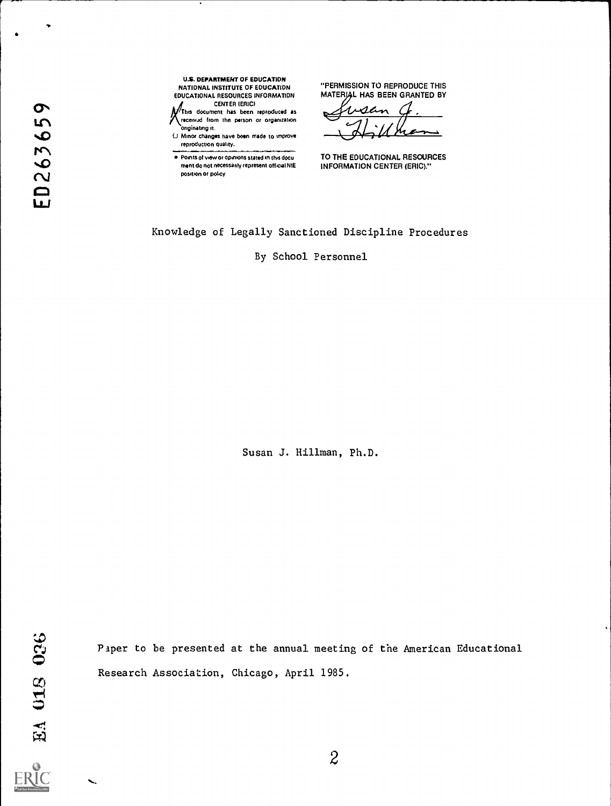U.S. DEPARTMENT OF EDUCATION NATIONAL INSTITUTE OF EDUCATION EDUCATIONAL RESOURCES INFORMATION

CENTER (ERIC)<br>
This document has been reproduced as received from the person or organization onginabng

%C)U Minor changes have been made to improve

reproduction quality.<br>
Points of view or opinions stated in this documents of view or opinions stated in this documents. 4) ment do not necessarily represent official NIE position or policy

"PERMISSION TO REPRODUCE THIS MATERIAL HAS BEEN GRANTED BY

AL  $\sim$   $\sim$   $\sim$  $L$ ilhan

TO THE EDUCATIONAL RESOURCES INFORMATION CENTER (ERIC)."

Knowledge of Legally Sanctioned Discipline Procedures

By School Personnel

Susan J. Hillman, Ph.D.

EA 018 026

Paper to be presented at the annual meeting of the American Educational Research Association, Chicago, April 1985.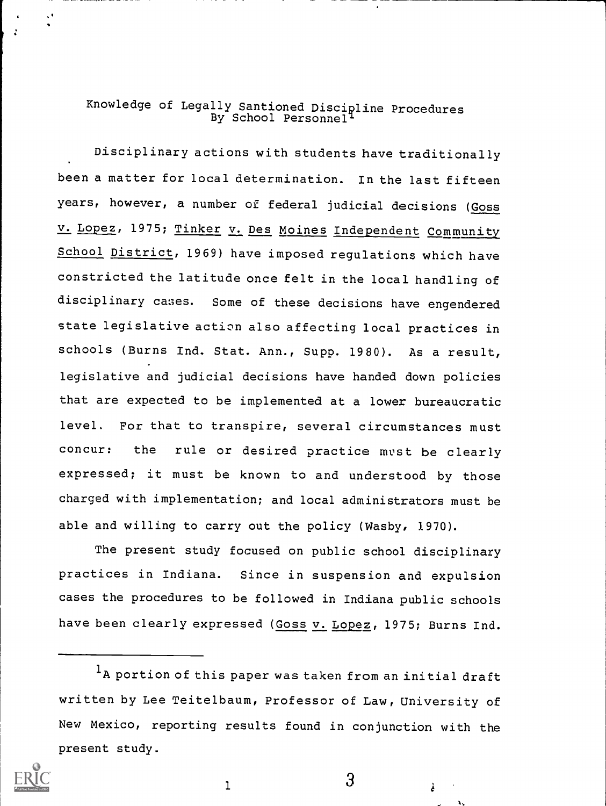### Knowledge of Legally Santioned Discipline Procedures By School Personnel<sup>l</sup>

Disciplinary actions with students have traditionally been a matter for local determination. In the last fifteen years, however, a number of federal judicial decisions (Goss v. Lopez, 1975; Tinker v. Des Moines Independent Community School District, 1969) have imposed regulations which have constricted the latitude once felt in the local handling of disciplinary cases. Some of these decisions have engendered state legislative action also affecting local practices in schools (Burns Ind. Stat. Ann., Supp. 1980). As a result, legislative and judicial decisions have handed down policies that are expected to be implemented at a lower bureaucratic level. For that to transpire, several circumstances must concur: the rule or desired practice must be clearly expressed; it must be known to and understood by those charged with implementation; and local administrators must be able and willing to carry out the policy (Wasby, 1970).

The present study focused on public school disciplinary practices in Indiana. Since in suspension and expulsion cases the procedures to be followed in Indiana public schools have been clearly expressed (Goss v. Lopez, 1975; Burns Ind.

<sup>1</sup>A portion of this paper was taken from an initial draft written by Lee Teitelbaum, Professor of Law, University of New Mexico, reporting results found in conjunction with the present study.



1 3

è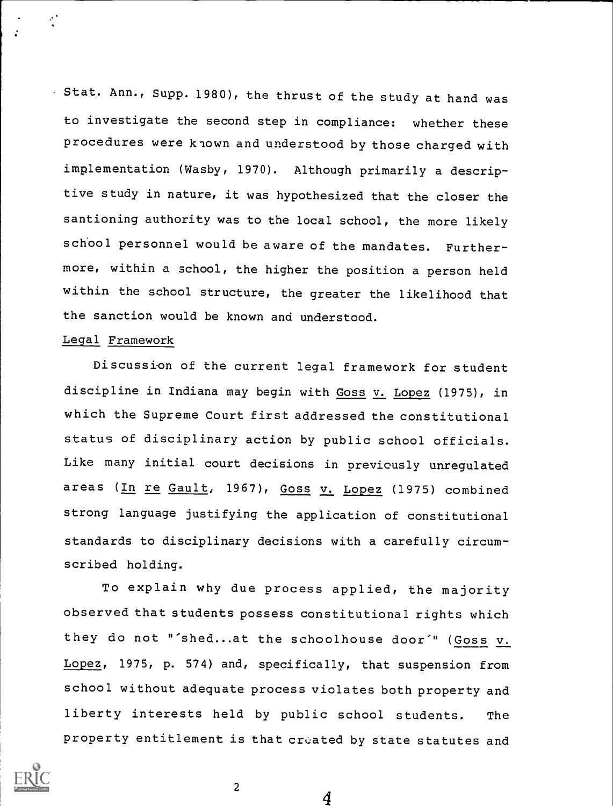Stat. Ann., Supp. 1980), the thrust of the study at hand was to investigate the second step in compliance: whether these procedures were known and understood by those charged with implementation (Wasby, 1970). Although primarily a descriptive study in nature, it was hypothesized that the closer the santioning authority was to the local school, the more likely school personnel would be aware of the mandates. Furthermore, within a school, the higher the position a person held within the school structure, the greater the likelihood that the sanction would be known and understood.

### Legal Framework

 $\epsilon^+$ 

Discussion of the current legal framework for student discipline in Indiana may begin with Goss v. Lopez (1975), in which the Supreme Court first addressed the constitutional status of disciplinary action by public school officials. Like many initial court decisions in previously unregulated areas (In re Gault, 1967), Goss v. Lopez (1975) combined strong language justifying the application of constitutional standards to disciplinary decisions with a carefully circumscribed holding.

To explain why due process applied, the majority observed that students possess constitutional rights which they do not "'shed...at the schoolhouse door" (Goss v. Lopez, 1975, p. 574) and, specifically, that suspension from school without adequate process violates both property and liberty interests held by public school students. The property entitlement is that created by state statutes and

4

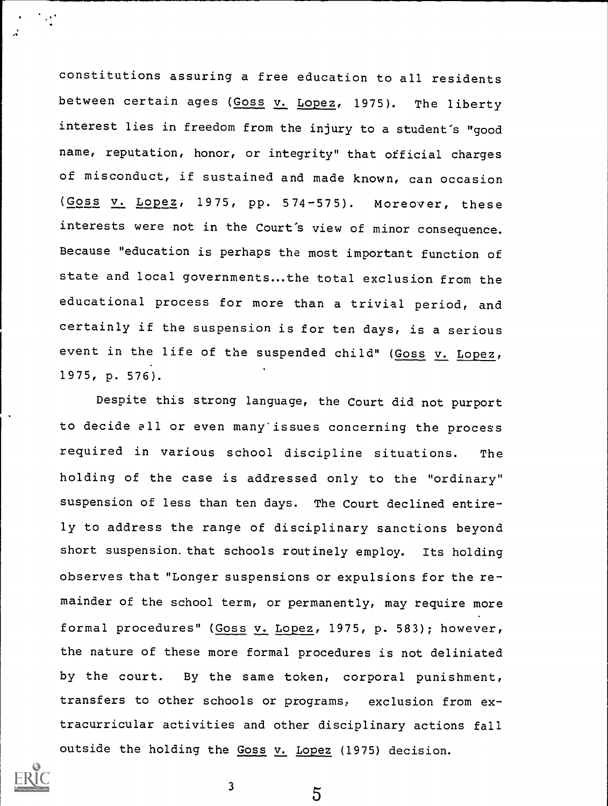constitutions assuring a free education to all residents between certain ages (Goss v. Lopez, 1975). The liberty interest lies in freedom from the injury to a student's "good name, reputation, honor, or integrity" that official charges of misconduct, if sustained and made known, can occasion (Goss v. Lopez, 1975, pp. 574-575). Moreover, these interests were not in the Court's view of minor consequence. Because "education is perhaps the most important function of state and local governments...the total exclusion from the educational process for more than a trivial period, and certainly if the suspension is for ten days, is a serious event in the life of the suspended child" (Goss v. Lopez, 1975, p. 576).

Despite this strong language, the Court did not purport to decide all or even many'issues concerning the process required in various school discipline situations. The holding of the case is addressed only to the "ordinary" suspension of less than ten days. The Court declined entirely to address the range of disciplinary sanctions beyond short suspension. that schools routinely employ. Its holding observes that "Longer suspensions or expulsions for the remainder of the school term, or permanently, may require more formal procedures" (Goss v. Lopez, 1975, p. 583); however, the nature of these more formal procedures is not deliniated by the court. By the same token, corporal punishment, transfers to other schools or programs, exclusion from extracurricular activities and other disciplinary actions fall outside the holding the Goss v. Lopez (1975) decision.



 $\frac{3}{5}$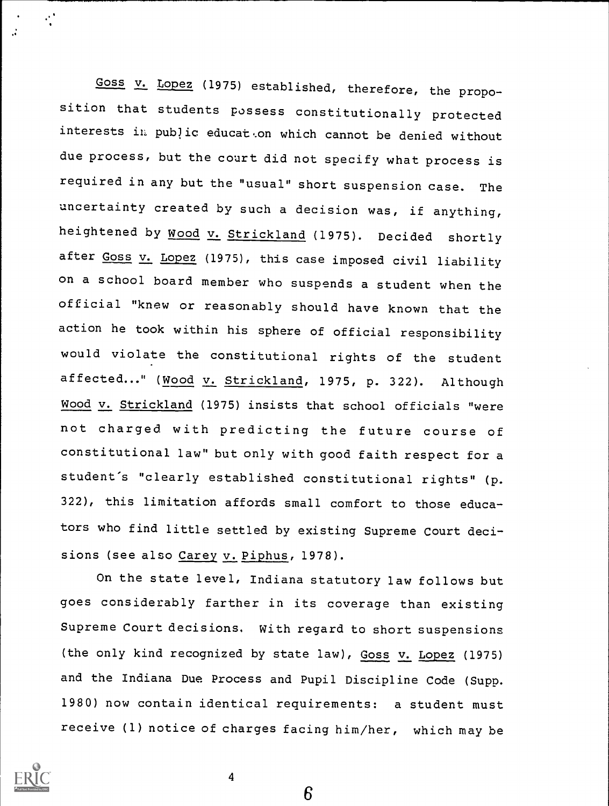Goss v. Lopez (1975) established, therefore, the proposition that students possess constitutionally protected interests in public educat.on which cannot be denied without due process, but the court did not specify what process is required in any but the "usual" short suspension case. The uncertainty created by such a decision was, if anything, heightened by Wood v. Strickland (1975). Decided shortly after Goss v. Lopez (1975), this case imposed civil liability on a school board member who suspends a student when the official "knew or reasonably should have known that the action he took within his sphere of official responsibility would violate the constitutional rights of the student affected..." (Wood v. Strickland, 1975, p. 322). Although Wood v. Strickland (1975) insists that school officials "were not charged with predicting the future course of constitutional law" but only with good faith respect for a student's "clearly established constitutional rights" (p. 322), this limitation affords small comfort to those educators who find little settled by existing Supreme Court decisions (see also Carey v. Piphus, 1978).

On the state level, Indiana statutory law follows but goes considerably farther in its coverage than existing Supreme Court decisions. With regard to short suspensions (the only kind recognized by state law), Goss v. Lopez (1975) and the Indiana Due Process and Pupil Discipline Code (Supp. 1980) now contain identical requirements: a student must receive (1) notice of charges facing him/her, which may be

6

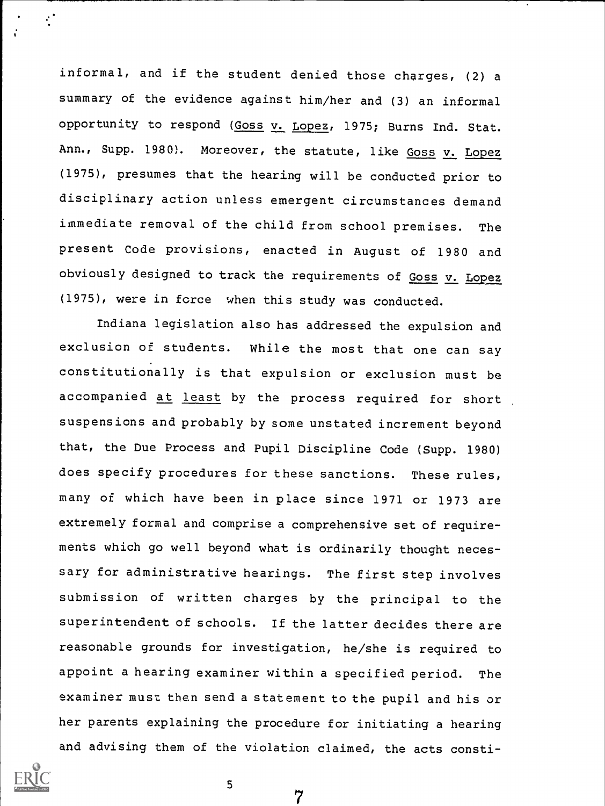informal, and if the student denied those charges, (2) a summary of the evidence against him/her and (3) an informal opportunity to respond (Goss v. Lopez, 1975; Burns Ind. Stat. Ann., Supp. 1980). Moreover, the statute, like Goss v. Lopez (1975), presumes that the hearing will be conducted prior to disciplinary action unless emergent circumstances demand immediate removal of the child from school premises. The present Code provisions, enacted in August of 1980 and obviously designed to track the requirements of  $Goss$   $v.$  Lopez (1975), were in force when this study was conducted.

Indiana legislation also has addressed the expulsion and exclusion of students. While the most that one can say constitutionally is that expulsion or exclusion must be accompanied at least by the process required for short suspensions and probably by some unstated increment beyond that, the Due Process and Pupil Discipline Code (Supp. 1980) does specify procedures for these sanctions. These rules, many of which have been in place since 1971 or 1973 are extremely formal and comprise a comprehensive set of requirements which go well beyond what is ordinarily thought necessary for administrative hearings. The first step involves submission of written charges by the principal to the superintendent of schools. If the latter decides there are reasonable grounds for investigation, he/she is required to appoint a hearing examiner within a specified period. The examiner must then send a statement to the pupil and his or her parents explaining the procedure for initiating a hearing and advising them of the violation claimed, the acts consti-



 $\cdot$  :

7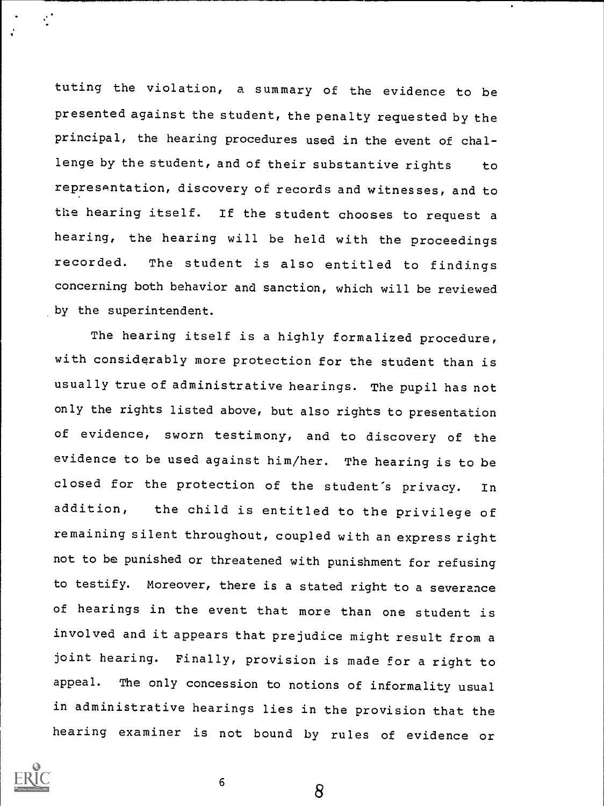tuting the violation, a summary of the evidence to be presented against the student, the penalty requested by the principal, the hearing procedures used in the event of challenge by the student, and of their substantive rights to representation, discovery of records and witnesses, and to the hearing itself. If the student chooses to request <sup>a</sup> hearing, the hearing will be held with the proceedings recorded. The student is also entitled to findings concerning both behavior and sanction, which will be reviewed by the superintendent.

The hearing itself is a highly formalized procedure, with considerably more protection for the student than is usually true of administrative hearings. The pupil has not only the rights listed above, but also rights to presentation of evidence, sworn testimony, and to discovery of the evidence to be used against him/her. The hearing is to be closed for the protection of the student's privacy. In addition, the child is entitled to the privilege of remaining silent throughout, coupled with an express right not to be punished or threatened with punishment for refusing to testify. Moreover, there is a stated right to a severance of hearings in the event that more than one student is involved and it appears that prejudice might result from a joint hearing. Finally, provision is made for a right to appeal. The only concession to notions of informality usual in administrative hearings lies in the provision that the hearing examiner is not bound by rules of evidence or



 $\mathbf{r}^{\prime}$ 

8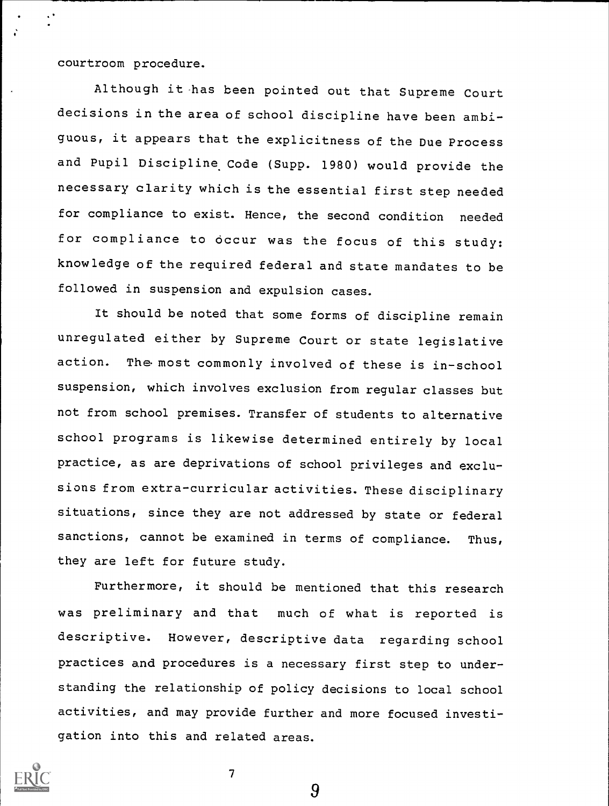courtroom procedure.

Although it-has been pointed out that Supreme Court decisions in the area of school discipline have been ambiguous, it appears that the explicitness of the Due Process and Pupil Discipline Code (Supp. 1980) would provide the necessary clarity which is the essential first step needed for compliance to exist. Hence, the second condition needed for compliance to occur was the focus of this study: knowledge of the required federal and state mandates to be followed in suspension and expulsion cases.

It should be noted that some forms of discipline remain unregulated either by Supreme Court or state legislative action. The- most commonly involved of these is in-school suspension, which involves exclusion from regular classes but not from school premises. Transfer of students to alternative school programs is likewise determined entirely by local practice, as are deprivations of school privileges and exclusions from extra-curricular activities. These disciplinary situations, since they are not addressed by state or federal sanctions, cannot be examined in terms of compliance. Thus, they are left for future study.

Furthermore, it should be mentioned that this research was preliminary and that much of what is reported is descriptive. However, descriptive data regarding school practices and procedures is a necessary first step to understanding the relationship of policy decisions to local school activities, and may provide further and more focused investigation into this and related areas.



9

 $\overline{7}$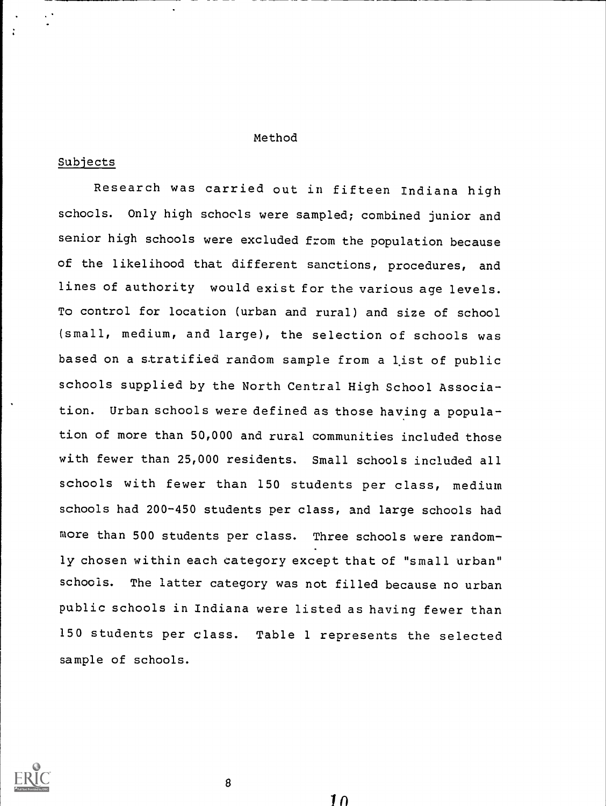#### Method

### Subjects

Research was carried out in fifteen Indiana high schools. Only high schools were sampled; combined junior and senior high schools were excluded from the population because of the likelihood that different sanctions, procedures, and lines of authority would exist for the various age levels. To control for location (urban and rural) and size of school (small, medium, and large), the selection of schools was based on a stratified random sample from a list of public schools supplied by the North Central High School Association. Urban schools were defined as those having a population of more than 50,000 and rural communities included those with fewer than 25,000 residents. Small schools included all schools with fewer than 150 students per class, medium schools had 200-450 students per class, and large schools had more than 500 students per class. Three schools were randomly chosen within each category except that of "small urban" schools. The latter category was not filled because no urban public schools in Indiana were listed as having fewer than 150 students per class. Table 1 represents the selected sample of schools.



 $\mathbf{a}$ 

 $1<sub>0</sub>$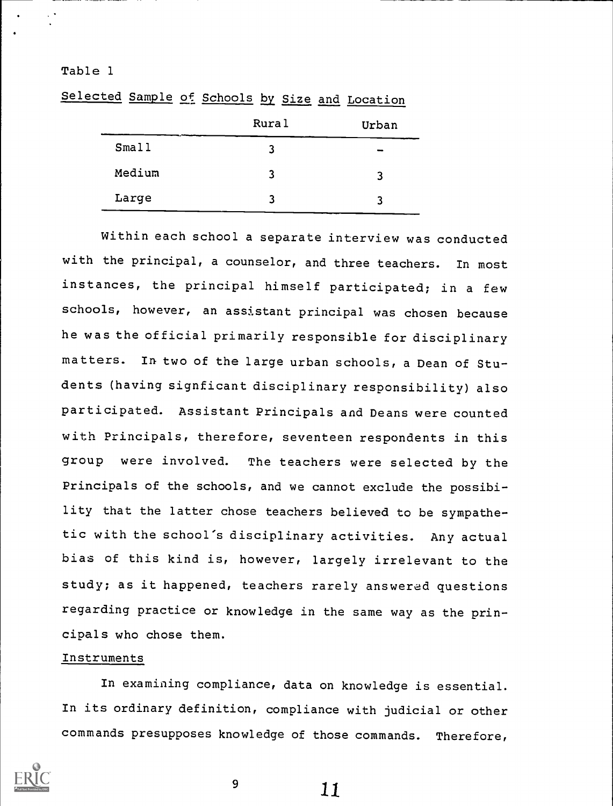### Table 1

Selected Sample of Schools by Size and Location

|        | Rural | Urban |  |
|--------|-------|-------|--|
| Small  | 3     | -     |  |
| Medium | 3     | 3     |  |
| Large  | ર     | 3     |  |

Within each school a separate interview was conducted with the principal, a counselor, and three teachers. In most instances, the principal himself participated; in a few schools, however, an assistant principal was chosen because he was the official primarily responsible for disciplinary matters. In two of the large urban schools, a Dean of Students (having signficant disciplinary responsibility) also participated. Assistant Principals and Deans were counted with Principals, therefore, seventeen respondents in this group were involved. The teachers were selected by the Principals of the schools, and we cannot exclude the possibility that the latter chose teachers believed to be sympathetic with the school's disciplinary activities. Any actual bias of this kind is, however, largely irrelevant to the study; as it happened, teachers rarely answered questions regarding practice or knowledge in the same way as the principals who chose them.

### Instruments

In examining compliance, data on knowledge is essential. In its ordinary definition, compliance with judicial or other commands presupposes knowledge of those commands. Therefore,



9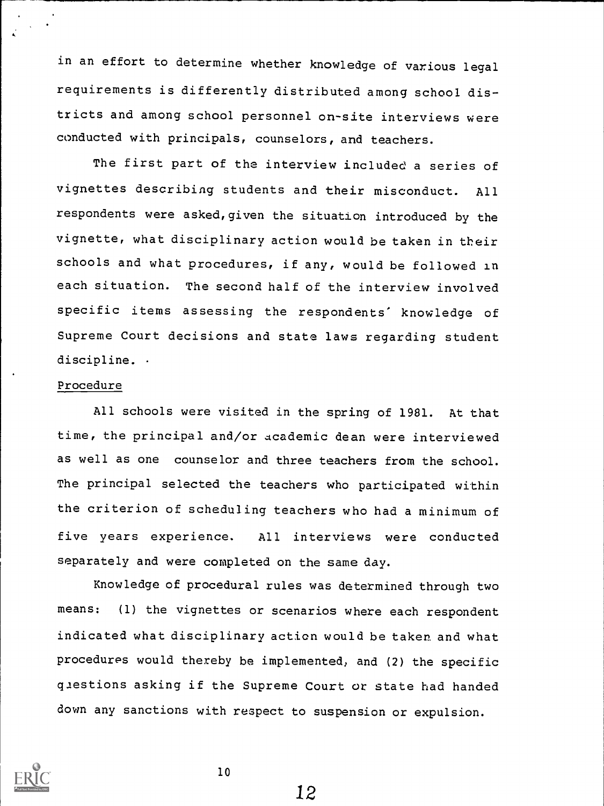in an effort to determine whether knowledge of various legal requirements is differently distributed among school districts and among school personnel on-site interviews were conducted with principals, counselors, and teachers.

The first part of the interview included a series of vignettes describing students and their misconduct. All respondents were asked,given the situation introduced by the vignette, what disciplinary action would be taken in their schools and what procedures, if any, would be followed in each situation. The second half of the interview involved specific items assessing the respondents' knowledge of Supreme Court decisions and state laws regarding student discipline. .

### Procedure

All schools were visited in the spring of 1981. At that time, the principal and/or academic dean were interviewed as well as one counselor and three teachers from the school. The principal selected the teachers who participated within the criterion of scheduling teachers who had a minimum of five years experience. All interviews were conducted separately and were completed on the same day.

Knowledge of procedural rules was determined through two means: (1) the vignettes or scenarios where each respondent indicated what disciplinary action would be taken and what procedures would thereby be implemented, and (2) the specific questions asking if the Supreme Court or state had handed down any sanctions with respect to suspension or expulsion.



 $10$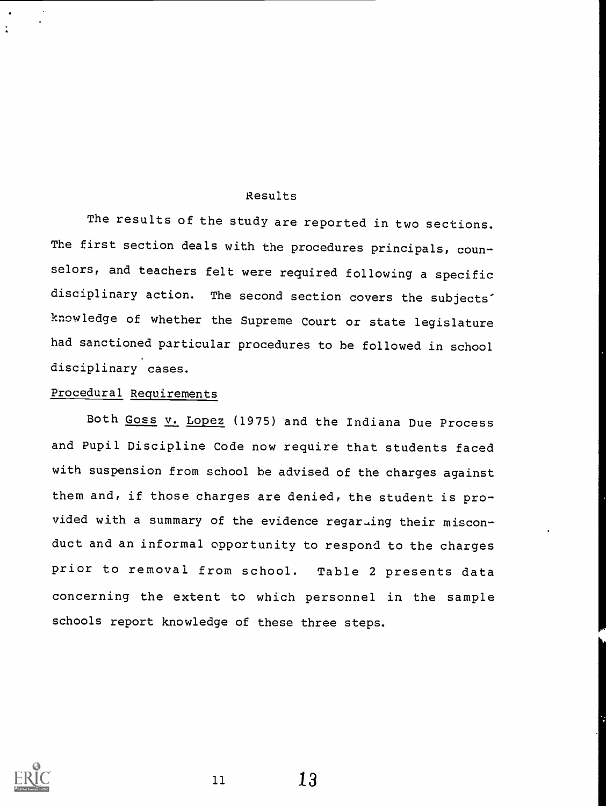### Results

The results of the study are reported in two sections. The first section deals with the procedures principals, counselors, and teachers felt were required following a specific disciplinary action. The second section covers the subjects' knowledge of whether the Supreme Court or state legislature had sanctioned particular procedures to be followed in school disciplinary cases.

## Procedural Requirements

Both Goss v. Lopez (1975) and the Indiana Due Process and Pupil Discipline Code now require that students faced with suspension from school be advised of the charges against them and, if those charges are denied, the student is provided with a summary of the evidence regarLing their misconduct and an informal opportunity to respond to the charges prior to removal from school. Table 2 presents data concerning the extent to which personnel in the sample schools report knowledge of these three steps.

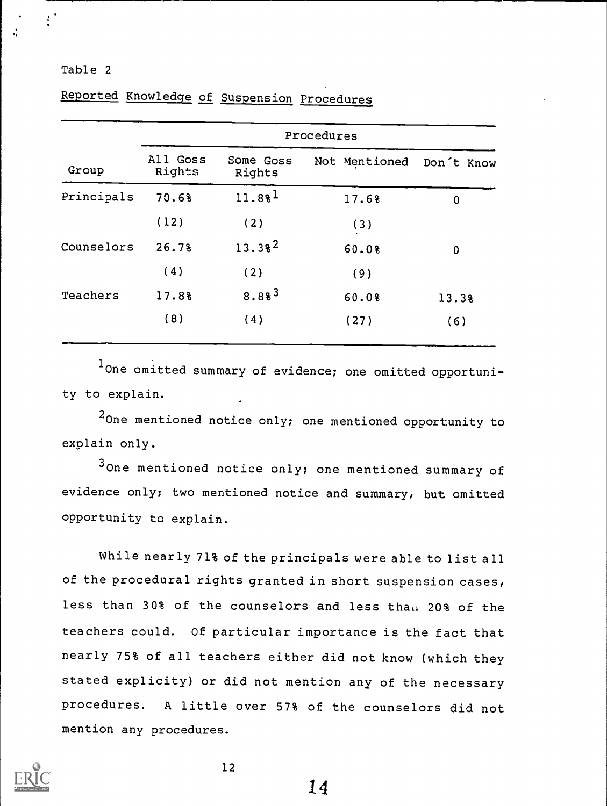| Table 2 |  |  |  |
|---------|--|--|--|
|         |  |  |  |

|            | Procedures         |                     |               |            |  |  |  |  |  |  |
|------------|--------------------|---------------------|---------------|------------|--|--|--|--|--|--|
| Group      | All Goss<br>Rights | Some Goss<br>Rights | Not Mentioned | Don't Know |  |  |  |  |  |  |
| Principals | 70.6%              | 11.88 <sup>1</sup>  | 17.6%         | $\bf{0}$   |  |  |  |  |  |  |
|            | (12)               | (2)                 | (3)           |            |  |  |  |  |  |  |
| Counselors | 26.7%              | $13.38^{2}$         | 60.0%         | 0          |  |  |  |  |  |  |
|            | (4)                | (2)                 | (9)           |            |  |  |  |  |  |  |
| Teachers   | 17.8%              | $8.88^{3}$          | 60.0%         | 13.3%      |  |  |  |  |  |  |
|            | (8)                | (4)                 | (27)          | (6)        |  |  |  |  |  |  |

Reported Knowledge of Suspension Procedures

1 One omitted summary of evidence; one omitted opportunity to explain.

2<sub>One mentioned notice only; one mentioned opportunity to</sub> explain only.

<sup>3</sup> One mentioned notice only; one mentioned summary of evidence only; two mentioned notice and summary, but omitted opportunity to explain.

While nearly 71% of the principals were able to list all of the procedural rights granted in short suspension cases, less than 30% of the counselors and less than 20% of the teachers could. Of particular importance is the fact that nearly 75% of all teachers either did not know (which they stated explicity) or did not mention any of the necessary procedures. A little over 57% of the counselors did not mention any procedures.



12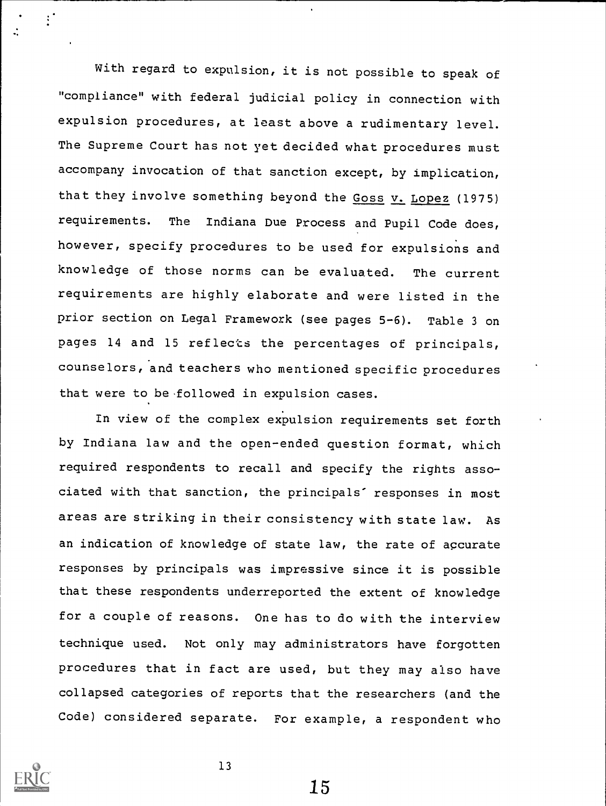With regard to expulsion, it is not possible to speak of "compliance" with federal judicial policy in connection with expulsion procedures, at least above a rudimentary level. The Supreme Court has not yet decided what procedures must accompany invocation of that sanction except, by implication, that they involve something beyond the Goss v. Lopez (1975) requirements. The Indiana Due Process and Pupil Code does, however, specify procedures to be used for expulsions and knowledge of those norms can be evaluated. The current requirements are highly elaborate and were listed in the prior section on Legal Framework (see pages 5-6). Table 3 on pages 14 and 15 reflects the percentages of principals, counselors, and teachers who mentioned specific procedures that were to be followed in expulsion cases.

In view of the complex expulsion requirements set forth by Indiana law and the open-ended question format, which required respondents to recall and specify the rights associated with that sanction, the principals" responses in most areas are striking in their consistency with state law. As an indication of knowledge of state law, the rate of accurate responses by principals was impressive since it is possible that these respondents underreported the extent of knowledge for a couple of reasons. One has to do with the interview technique used. Not only may administrators have forgotten procedures that in fact are used, but they may also have collapsed categories of reports that the researchers (and the Code) considered separate. For example, a respondent who



 $\ddot{\mathbf{r}}$ 

13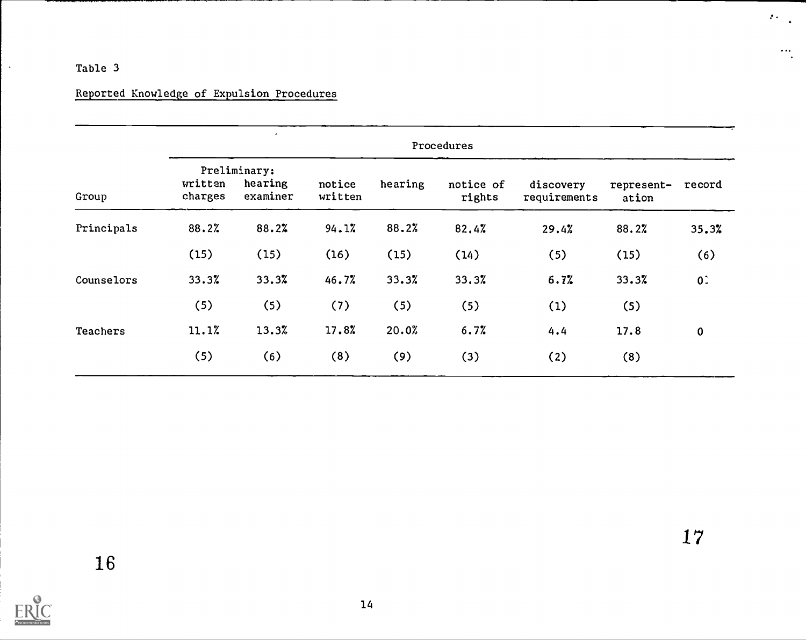## Table 3

 $\ddot{\phantom{a}}$ 

# Reported Knowledge of Expulsion Procedures

------

|            |                    | Procedures                          |                   |         |                     |                           |                     |          |  |  |
|------------|--------------------|-------------------------------------|-------------------|---------|---------------------|---------------------------|---------------------|----------|--|--|
| Group      | written<br>charges | Preliminary:<br>hearing<br>examiner | notice<br>written | hearing | notice of<br>rights | discovery<br>requirements | represent-<br>ation | record   |  |  |
| Principals | 88.2%              | 88.2%                               | 94.1%             | 88.2%   | 82.4%               | 29.4%                     | 88.2%               | 35.3%    |  |  |
|            | (15)               | (15)                                | (16)              | (15)    | (14)                | (5)                       | (15)                | (6)      |  |  |
| Counselors | 33.3%              | 33.3%                               | 46.7%             | 33.3%   | 33.3%               | 6.7%                      | 33.3%               | 0:       |  |  |
|            | (5)                | (5)                                 | (7)               | (5)     | (5)                 | (1)                       | (5)                 |          |  |  |
| Teachers   | 11.1%              | 13.3%                               | 17.8%             | 20.0%   | 6.7%                | 4.4                       | 17.8                | $\bf{0}$ |  |  |
|            | (5)                | (6)                                 | (8)               | (9)     | (3)                 | (2)                       | (8)                 |          |  |  |

ERIC

 $\mathcal{L}_{\mathcal{F}}(\mathcal{L}_{\mathcal{F}})$ 

 $\dddot{\bullet}$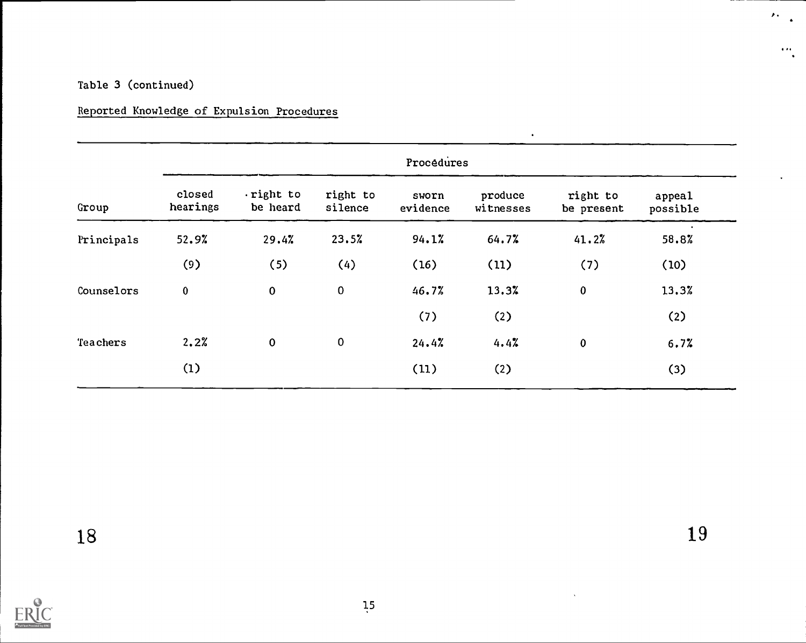## Table 3 (continued)

## Reported Knowledge of Expulsion Procedures

|            | Procédures         |                       |                     |                   |                      |                        |                    |  |  |  |
|------------|--------------------|-----------------------|---------------------|-------------------|----------------------|------------------------|--------------------|--|--|--|
| Group      | closed<br>hearings | right to.<br>be heard | right to<br>silence | sworn<br>evidence | produce<br>witnesses | right to<br>be present | appeal<br>possible |  |  |  |
| Principals | 52.9%              | 29.4%                 | 23.5%               | 94.1%             | 64.7%                | 41.2%                  | 58.8%              |  |  |  |
|            | (9)                | (5)                   | (4)                 | (16)              | (11)                 | (7)                    | (10)               |  |  |  |
| Counselors | $\bf{0}$           | $\pmb{0}$             | $\pmb{0}$           | 46.7%             | 13.3%                | $\bf{0}$               | 13.3%              |  |  |  |
|            |                    |                       |                     | (7)               | (2)                  |                        | (2)                |  |  |  |
| Teachers   | 2.2%               | $\mathbf 0$           | $\pmb{0}$           | 24.4%             | 4.4%                 | $\bf{0}$               | 6.7%               |  |  |  |
|            | (1)                |                       |                     | (11)              | (2)                  |                        | (3)                |  |  |  |

19

 $\mathbf{v}$  .

 $-$ 

a

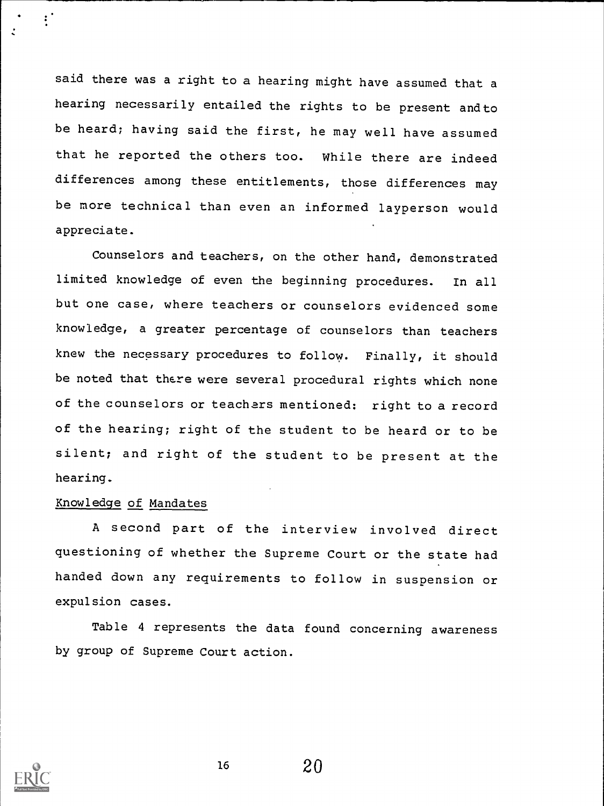said there was a right to a hearing might have assumed that <sup>a</sup> hearing necessarily entailed the rights to be present and to be heard; having said the first, he may well have assumed that he reported the others too. While there are indeed differences among these entitlements, those differences may be more technical than even an informed layperson would appreciate.

Counselors and teachers, on the other hand, demonstrated limited knowledge of even the beginning procedures. In all but one case, where teachers or counselors evidenced some knowledge, a greater percentage of counselors than teachers knew the necessary procedures to follow. Finally, it should be noted that there were several procedural rights which none of the counselors or teachers mentioned: right to a record of the hearing; right of the student to be heard or to be silent; and right of the student to be present at the hearing.

## Knowledge of Mandates

A second part of the interview involved direct questioning of whether the Supreme Court or the state had handed down any requirements to follow in suspension or expulsion cases.

Table 4 represents the data found concerning awareness by group of Supreme Court action.



 $\ddot{\cdot}$ 

16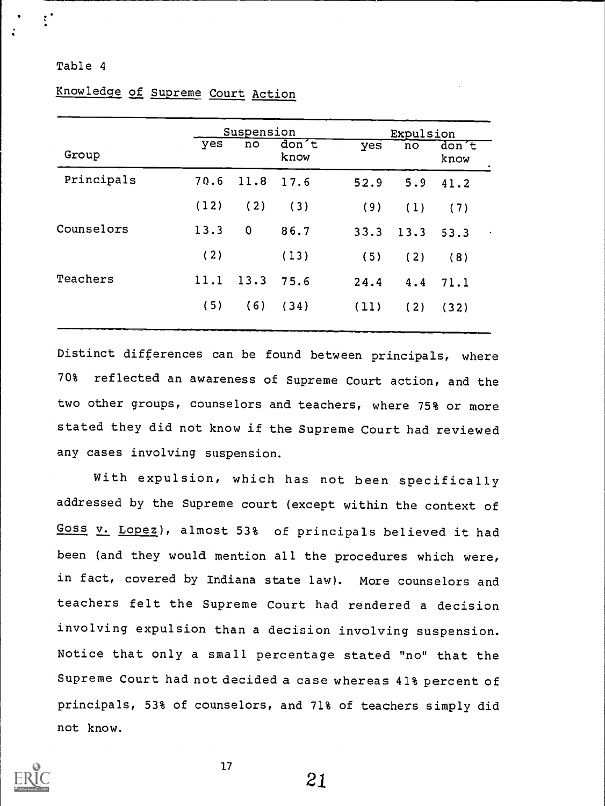### Table 4

|            |      | Suspension |               | Expulsion |      |                   |
|------------|------|------------|---------------|-----------|------|-------------------|
| Group      | yes  | no         | don't<br>know | yes       | no   | $don$ $t$<br>know |
| Principals | 70.6 | 11.8       | 17.6          | 52.9      | 5.9  | 41.2              |
|            | (12) | (2)        | (3)           | (9)       | (1)  | (7)               |
| Counselors | 13.3 | 0          | 86.7          | 33.3      | 13.3 | 53.3              |
|            | (2)  |            | (13)          | (5)       | (2)  | (8)               |
| Teachers   | 11.1 | 13.3       | 75.6          | 24.4      | 4.4  | 71.1              |
|            | (5)  | (6)        | (34)          | (11)      | (2)  | (32)              |
|            |      |            |               |           |      |                   |

## Knowledge of Supreme Court Action

Distinct differences can be found between principals, where 70% reflected an awareness of Supreme Court action, and the two other groups, counselors and teachers, where 75% or more stated they did not know if the Supreme Court had reviewed any cases involving suspension.

With expulsion, which has not been specifically addressed by the Supreme court (except within the context of Goss v. Lopez), almost 53% of principals believed it had been (and they would mention all the procedures which were, in fact, covered by Indiana state law). More counselors and teachers felt the Supreme Court had rendered a decision involving expulsion than a decision involving suspension. Notice that only a small percentage stated "no" that the Supreme Court had not decided a case whereas 41% percent of principals, 53% of counselors, and 71% of teachers simply did not know.



17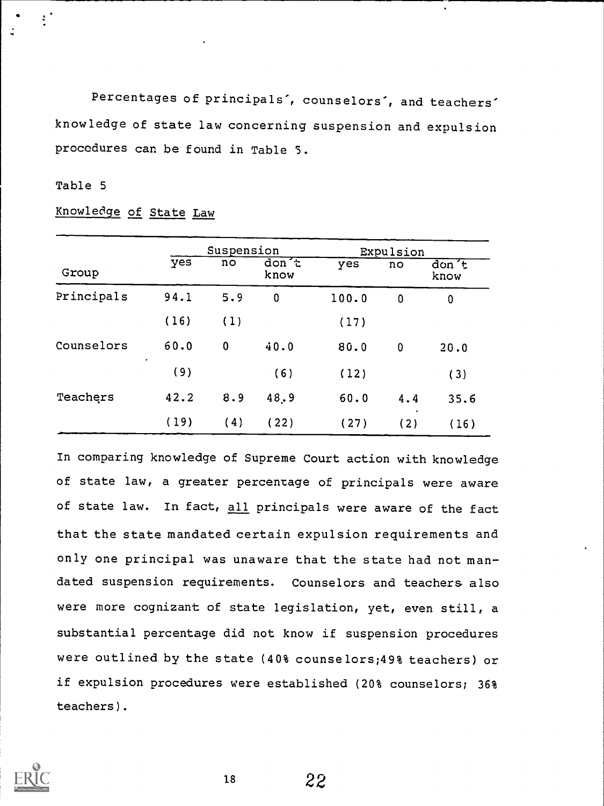Percentages of principals', counselors', and teachers' knowledge of state law concerning suspension and expulsion procedures can be found in Table 5.

## Table 5

 $\sum_{i=1}^{n}$ 

| Group      |          | Suspension |                          | Expulsion |                  |                        |  |
|------------|----------|------------|--------------------------|-----------|------------------|------------------------|--|
|            | yes      | no         | don <sub>c</sub><br>know | yes       | no               | $\frac{d}{dx}$<br>know |  |
| Principals | 94.1     | 5.9        | $\bf{0}$                 | 100.0     | $\mathbf 0$      | 0                      |  |
|            | (16)     | (1)        |                          | (17)      |                  |                        |  |
| Counselors | 60.0     | $\bf{0}$   | 40.0                     | 80.0      | $\mathbf 0$      | 20.0                   |  |
|            | ٠<br>(9) |            | (6)                      | (12)      |                  | (3)                    |  |
| Teachers   | 42.2     | 8.9        | 48.9                     | 60.0      | 4.4              | 35.6                   |  |
|            | (19)     | (4)        | (22)                     | (27)      | $\bullet$<br>(2) | (16)                   |  |

Knowledge of State Law

In comparing knowledge of Supreme Court action with knowledge of state law, a greater percentage of principals were aware of state law. In fact, all principals were aware of the fact that the state mandated certain expulsion requirements and only one principal was unaware that the state had not mandated suspension requirements. Counselors and teachers also were more cognizant of state legislation, yet, even still, a substantial percentage did not know if suspension procedures were outlined by the state (40% counselors;49% teachers) or if expulsion procedures were established (20% counselors; 36% teachers).



18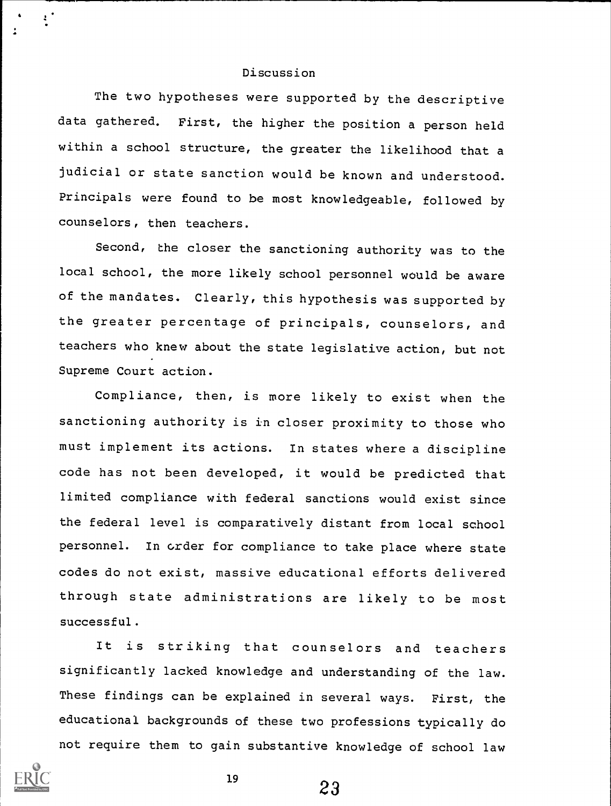### Discussion

The two hypotheses were supported by the descriptive data gathered. First, the higher the position a person held within a school structure, the greater the likelihood that a judicial or state sanction would be known and understood. Principals were found to be most knowledgeable, followed by counselors, then teachers.

Second, the closer the sanctioning authority was to the local school, the more likely school personnel would be aware of the mandates. Clearly, this hypothesis was supported by the greater percentage of principals, counselors, and teachers who knew about the state legislative action, but not Supreme Court action.

Compliance, then, is more likely to exist when the sanctioning authority is in closer proximity to those who must implement its actions. In states where a discipline code has not been developed, it would be predicted that limited compliance with federal sanctions would exist since the federal level is comparatively distant from local school personnel. In order for compliance to take place where state codes do not exist, massive educational efforts delivered through state administrations are likely to be most successful.

It is striking that counselors and teachers significantly lacked knowledge and understanding of the law. These findings can be explained in several ways. First, the educational backgrounds of these two professions typically do not require them to gain substantive knowledge of school law



 $\mathbf{r}^{\star}$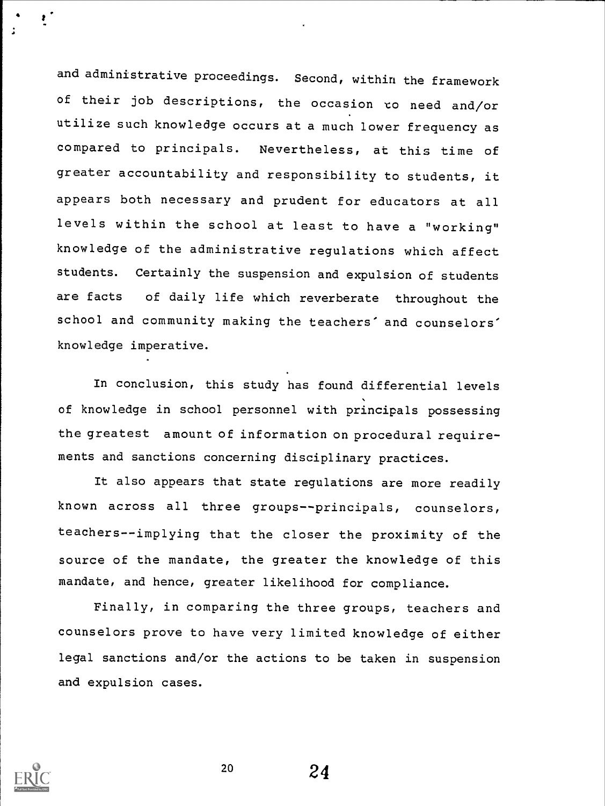and administrative proceedings. Second, within the framework of their job descriptions, the occasion co need and/or utilize such knowledge occurs at a much lower frequency as compared to principals. Nevertheless, at this time of greater accountability and responsibility to students, it appears both necessary and prudent for educators at all levels within the school at least to have a "working" knowledge of the administrative regulations which affect students. Certainly the suspension and expulsion of students are facts of daily life which reverberate throughout the school and community making the teachers' and counselors' knowledge imperative.

In conclusion, this study has found differential levels of knowledge in school personnel with principals possessing the greatest amount of information on procedural requirements and sanctions concerning disciplinary practices.

It also appears that state regulations are more readily known across all three groups--principals, counselors, teachers--implying that the closer the proximity of the source of the mandate, the greater the knowledge of this mandate, and hence, greater likelihood for compliance.

Finally, in comparing the three groups, teachers and counselors prove to have very limited knowledge of either legal sanctions and/or the actions to be taken in suspension and expulsion cases.



20